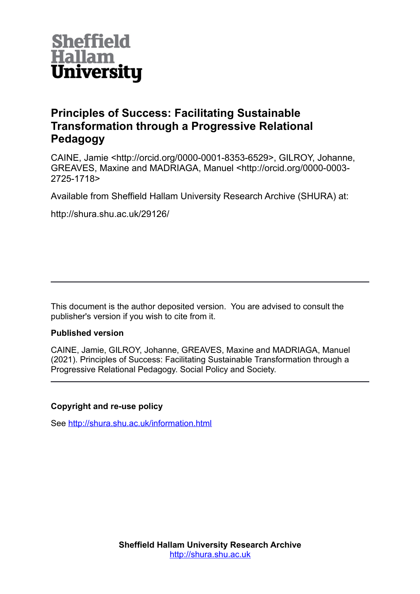

# **Principles of Success: Facilitating Sustainable Transformation through a Progressive Relational Pedagogy**

CAINE, Jamie <http://orcid.org/0000-0001-8353-6529>, GILROY, Johanne, GREAVES, Maxine and MADRIAGA, Manuel <http://orcid.org/0000-0003- 2725-1718>

Available from Sheffield Hallam University Research Archive (SHURA) at:

http://shura.shu.ac.uk/29126/

This document is the author deposited version. You are advised to consult the publisher's version if you wish to cite from it.

# **Published version**

CAINE, Jamie, GILROY, Johanne, GREAVES, Maxine and MADRIAGA, Manuel (2021). Principles of Success: Facilitating Sustainable Transformation through a Progressive Relational Pedagogy. Social Policy and Society.

# **Copyright and re-use policy**

See<http://shura.shu.ac.uk/information.html>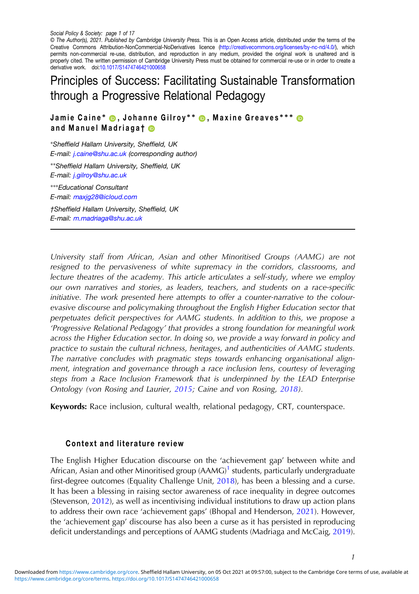© The Author(s), 2021. Published by Cambridge University Press. This is an Open Access article, distributed under the terms of the Creative Commons Attribution-NonCommercial-NoDerivatives licence [\(http://creativecommons.org/licenses/by-nc-nd/4.0/\)](http://creativecommons.org/licenses/by-nc-nd/4.0/), which permits non-commercial re-use, distribution, and reproduction in any medium, provided the original work is unaltered and is properly cited. The written permission of Cambridge University Press must be obtained for commercial re-use or in order to create a derivative work. doi[:10.1017/S1474746421000658](https://doi.org/10.1017/S1474746421000658)

# Principles of Success: Facilitating Sustainable Transformation through a Progressive Relational Pedagogy

Jamie Caine\* ®, Johanne Gilroy\*\* ®, Maxine Greaves\*\*\* ® and Manuel Madriagat **®** 

<sup>∗</sup>Sheffield Hallam University, Sheffield, UK E-mail: [j.caine@shu.ac.uk](mailto:j.caine@shu.ac.uk) (corresponding author) ∗∗Sheffield Hallam University, Sheffield, UK E-mail: [j.gilroy@shu.ac.uk](mailto:j.gilroy@shu.ac.uk) ∗∗∗Educational Consultant E-mail: [maxjg28@icloud.com](mailto:maxjg28@icloud.com) †Sheffield Hallam University, Sheffield, UK

E-mail: [m.madriaga@shu.ac.uk](mailto:m.madriaga@shu.ac.uk)

University staff from African, Asian and other Minoritised Groups (AAMG) are not resigned to the pervasiveness of white supremacy in the corridors, classrooms, and lecture theatres of the academy. This article articulates a self-study, where we employ our own narratives and stories, as leaders, teachers, and students on a race-specific initiative. The work presented here attempts to offer a counter-narrative to the colourevasive discourse and policymaking throughout the English Higher Education sector that perpetuates deficit perspectives for AAMG students. In addition to this, we propose a 'Progressive Relational Pedagogy' that provides a strong foundation for meaningful work across the Higher Education sector. In doing so, we provide a way forward in policy and practice to sustain the cultural richness, heritages, and authenticities of AAMG students. The narrative concludes with pragmatic steps towards enhancing organisational alignment, integration and governance through a race inclusion lens, courtesy of leveraging steps from a Race Inclusion Framework that is underpinned by the LEAD Enterprise Ontology (von Rosing and Laurier, [2015](#page-17-0); Caine and von Rosing, [2018\)](#page-15-0).

Keywords: Race inclusion, cultural wealth, relational pedagogy, CRT, counterspace.

# Context and literature review

The English Higher Education discourse on the 'achievement gap' between white and African, Asian and other Minoritised group  $(AAMG)^1$  $(AAMG)^1$  students, particularly undergraduate first-degree outcomes (Equality Challenge Unit, [2018](#page-15-0)), has been a blessing and a curse. It has been a blessing in raising sector awareness of race inequality in degree outcomes (Stevenson, [2012](#page-17-0)), as well as incentivising individual institutions to draw up action plans to address their own race 'achievement gaps' (Bhopal and Henderson, [2021](#page-14-0)). However, the 'achievement gap' discourse has also been a curse as it has persisted in reproducing deficit understandings and perceptions of AAMG students (Madriaga and McCaig, [2019\)](#page-16-0).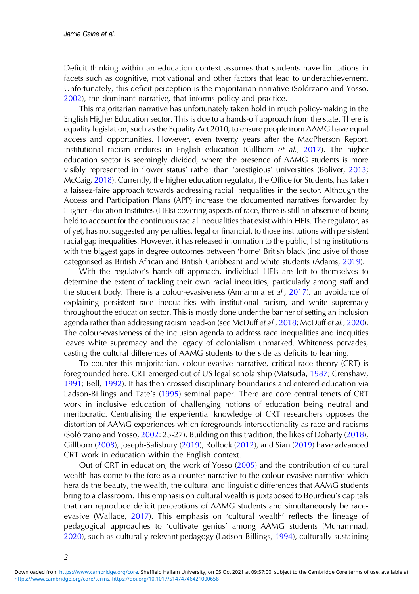Deficit thinking within an education context assumes that students have limitations in facets such as cognitive, motivational and other factors that lead to underachievement. Unfortunately, this deficit perception is the majoritarian narrative (Solórzano and Yosso, [2002](#page-16-0)), the dominant narrative, that informs policy and practice.

This majoritarian narrative has unfortunately taken hold in much policy-making in the English Higher Education sector. This is due to a hands-off approach from the state. There is equality legislation, such as the Equality Act 2010, to ensure people from AAMG have equal access and opportunities. However, even twenty years after the MacPherson Report, institutional racism endures in English education (Gillborn et al., [2017](#page-15-0)). The higher education sector is seemingly divided, where the presence of AAMG students is more visibly represented in 'lower status' rather than 'prestigious' universities (Boliver, [2013](#page-14-0); McCaig, [2018\)](#page-16-0). Currently, the higher education regulator, the Office for Students, has taken a laissez-faire approach towards addressing racial inequalities in the sector. Although the Access and Participation Plans (APP) increase the documented narratives forwarded by Higher Education Institutes (HEIs) covering aspects of race, there is still an absence of being held to account for the continuous racial inequalities that exist within HEIs. The regulator, as of yet, has not suggested any penalties, legal or financial, to those institutions with persistent racial gap inequalities. However, it has released information to the public, listing institutions with the biggest gaps in degree outcomes between 'home' British black (inclusive of those categorised as British African and British Caribbean) and white students (Adams, [2019](#page-14-0)).

With the regulator's hands-off approach, individual HEIs are left to themselves to determine the extent of tackling their own racial inequities, particularly among staff and the student body. There is a colour-evasiveness (Annamma et al., [2017\)](#page-14-0), an avoidance of explaining persistent race inequalities with institutional racism, and white supremacy throughout the education sector. This is mostly done under the banner of setting an inclusion agenda rather than addressing racism head-on (see McDuff et al., [2018;](#page-16-0) McDuff et al., [2020\)](#page-16-0). The colour-evasiveness of the inclusion agenda to address race inequalities and inequities leaves white supremacy and the legacy of colonialism unmarked. Whiteness pervades, casting the cultural differences of AAMG students to the side as deficits to learning.

To counter this majoritarian, colour-evasive narrative, critical race theory (CRT) is foregrounded here. CRT emerged out of US legal scholarship (Matsuda, [1987;](#page-16-0) Crenshaw, [1991](#page-15-0); Bell, [1992\)](#page-14-0). It has then crossed disciplinary boundaries and entered education via Ladson-Billings and Tate's ([1995\)](#page-16-0) seminal paper. There are core central tenets of CRT work in inclusive education of challenging notions of education being neutral and meritocratic. Centralising the experiential knowledge of CRT researchers opposes the distortion of AAMG experiences which foregrounds intersectionality as race and racisms (Solórzano and Yosso, [2002](#page-16-0): 25-27). Building on this tradition, the likes of Doharty ([2018\)](#page-15-0), Gillborn [\(2008](#page-15-0)), Joseph-Salisbury ([2019\)](#page-15-0), Rollock [\(2012](#page-16-0)), and Sian ([2019\)](#page-16-0) have advanced CRT work in education within the English context.

Out of CRT in education, the work of Yosso [\(2005](#page-17-0)) and the contribution of cultural wealth has come to the fore as a counter-narrative to the colour-evasive narrative which heralds the beauty, the wealth, the cultural and linguistic differences that AAMG students bring to a classroom. This emphasis on cultural wealth is juxtaposed to Bourdieu's capitals that can reproduce deficit perceptions of AAMG students and simultaneously be raceevasive (Wallace, [2017](#page-17-0)). This emphasis on 'cultural wealth' reflects the lineage of pedagogical approaches to 'cultivate genius' among AAMG students (Muhammad, [2020](#page-16-0)), such as culturally relevant pedagogy (Ladson-Billings, [1994\)](#page-15-0), culturally-sustaining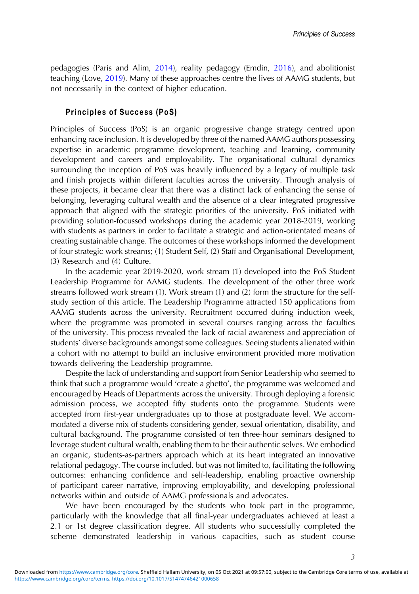pedagogies (Paris and Alim, [2014\)](#page-16-0), reality pedagogy (Emdin, [2016\)](#page-15-0), and abolitionist teaching (Love, [2019\)](#page-16-0). Many of these approaches centre the lives of AAMG students, but not necessarily in the context of higher education.

## Principles of Success (PoS)

Principles of Success (PoS) is an organic progressive change strategy centred upon enhancing race inclusion. It is developed by three of the named AAMG authors possessing expertise in academic programme development, teaching and learning, community development and careers and employability. The organisational cultural dynamics surrounding the inception of PoS was heavily influenced by a legacy of multiple task and finish projects within different faculties across the university. Through analysis of these projects, it became clear that there was a distinct lack of enhancing the sense of belonging, leveraging cultural wealth and the absence of a clear integrated progressive approach that aligned with the strategic priorities of the university. PoS initiated with providing solution-focussed workshops during the academic year 2018-2019, working with students as partners in order to facilitate a strategic and action-orientated means of creating sustainable change. The outcomes of these workshops informed the development of four strategic work streams; (1) Student Self, (2) Staff and Organisational Development, (3) Research and (4) Culture.

In the academic year 2019-2020, work stream (1) developed into the PoS Student Leadership Programme for AAMG students. The development of the other three work streams followed work stream (1). Work stream (1) and (2) form the structure for the selfstudy section of this article. The Leadership Programme attracted 150 applications from AAMG students across the university. Recruitment occurred during induction week, where the programme was promoted in several courses ranging across the faculties of the university. This process revealed the lack of racial awareness and appreciation of students' diverse backgrounds amongst some colleagues. Seeing students alienated within a cohort with no attempt to build an inclusive environment provided more motivation towards delivering the Leadership programme.

Despite the lack of understanding and support from Senior Leadership who seemed to think that such a programme would 'create a ghetto', the programme was welcomed and encouraged by Heads of Departments across the university. Through deploying a forensic admission process, we accepted fifty students onto the programme. Students were accepted from first-year undergraduates up to those at postgraduate level. We accommodated a diverse mix of students considering gender, sexual orientation, disability, and cultural background. The programme consisted of ten three-hour seminars designed to leverage student cultural wealth, enabling them to be their authentic selves. We embodied an organic, students-as-partners approach which at its heart integrated an innovative relational pedagogy. The course included, but was not limited to, facilitating the following outcomes: enhancing confidence and self-leadership, enabling proactive ownership of participant career narrative, improving employability, and developing professional networks within and outside of AAMG professionals and advocates.

We have been encouraged by the students who took part in the programme, particularly with the knowledge that all final-year undergraduates achieved at least a 2.1 or 1st degree classification degree. All students who successfully completed the scheme demonstrated leadership in various capacities, such as student course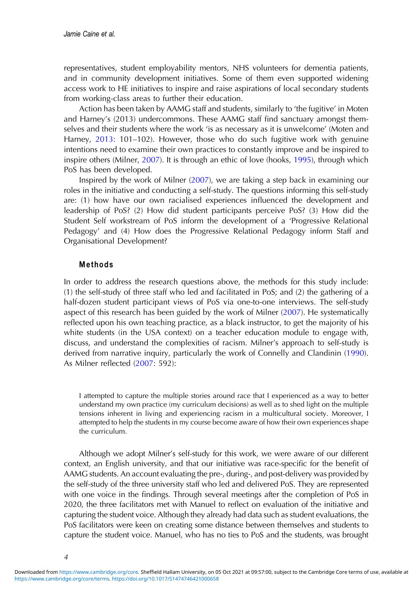representatives, student employability mentors, NHS volunteers for dementia patients, and in community development initiatives. Some of them even supported widening access work to HE initiatives to inspire and raise aspirations of local secondary students from working-class areas to further their education.

Action has been taken by AAMG staff and students, similarly to 'the fugitive' in Moten and Harney's (2013) undercommons. These AAMG staff find sanctuary amongst themselves and their students where the work 'is as necessary as it is unwelcome' (Moten and Harney, [2013](#page-16-0): 101–102). However, those who do such fugitive work with genuine intentions need to examine their own practices to constantly improve and be inspired to inspire others (Milner, [2007](#page-16-0)). It is through an ethic of love (hooks, [1995\)](#page-15-0), through which PoS has been developed.

Inspired by the work of Milner ([2007\)](#page-16-0), we are taking a step back in examining our roles in the initiative and conducting a self-study. The questions informing this self-study are: (1) how have our own racialised experiences influenced the development and leadership of PoS? (2) How did student participants perceive PoS? (3) How did the Student Self workstream of PoS inform the development of a 'Progressive Relational Pedagogy' and (4) How does the Progressive Relational Pedagogy inform Staff and Organisational Development?

# Methods

In order to address the research questions above, the methods for this study include: (1) the self-study of three staff who led and facilitated in PoS; and (2) the gathering of a half-dozen student participant views of PoS via one-to-one interviews. The self-study aspect of this research has been guided by the work of Milner [\(2007](#page-16-0)). He systematically reflected upon his own teaching practice, as a black instructor, to get the majority of his white students (in the USA context) on a teacher education module to engage with, discuss, and understand the complexities of racism. Milner's approach to self-study is derived from narrative inquiry, particularly the work of Connelly and Clandinin ([1990\)](#page-15-0). As Milner reflected ([2007:](#page-16-0) 592):

I attempted to capture the multiple stories around race that I experienced as a way to better understand my own practice (my curriculum decisions) as well as to shed light on the multiple tensions inherent in living and experiencing racism in a multicultural society. Moreover, I attempted to help the students in my course become aware of how their own experiences shape the curriculum.

Although we adopt Milner's self-study for this work, we were aware of our different context, an English university, and that our initiative was race-specific for the benefit of AAMG students. An account evaluating the pre-, during-, and post-delivery was provided by the self-study of the three university staff who led and delivered PoS. They are represented with one voice in the findings. Through several meetings after the completion of PoS in 2020, the three facilitators met with Manuel to reflect on evaluation of the initiative and capturing the student voice. Although they already had data such as student evaluations, the PoS facilitators were keen on creating some distance between themselves and students to capture the student voice. Manuel, who has no ties to PoS and the students, was brought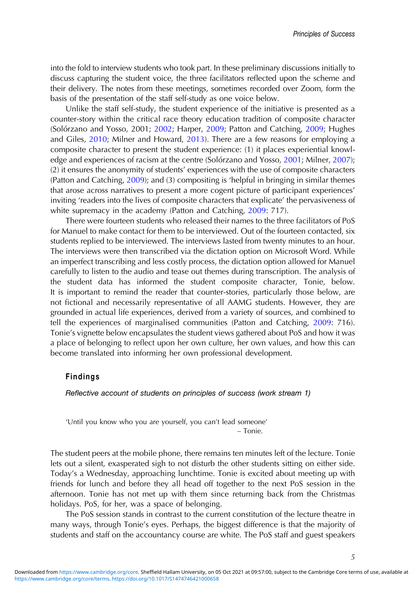into the fold to interview students who took part. In these preliminary discussions initially to discuss capturing the student voice, the three facilitators reflected upon the scheme and their delivery. The notes from these meetings, sometimes recorded over Zoom, form the basis of the presentation of the staff self-study as one voice below.

Unlike the staff self-study, the student experience of the initiative is presented as a counter-story within the critical race theory education tradition of composite character (Solórzano and Yosso, 2001; [2002;](#page-16-0) Harper, [2009;](#page-16-0) Patton and Catching, 2009; Hughes and Giles, [2010;](#page-15-0) Milner and Howard, [2013\)](#page-16-0). There are a few reasons for employing a composite character to present the student experience: (1) it places experiential knowl-edge and experiences of racism at the centre (Solórzano and Yosso, [2001](#page-16-0); Milner, [2007\)](#page-16-0); (2) it ensures the anonymity of students' experiences with the use of composite characters (Patton and Catching, [2009](#page-16-0)); and (3) compositing is 'helpful in bringing in similar themes that arose across narratives to present a more cogent picture of participant experiences' inviting 'readers into the lives of composite characters that explicate' the pervasiveness of white supremacy in the academy (Patton and Catching, [2009](#page-16-0): 717).

There were fourteen students who released their names to the three facilitators of PoS for Manuel to make contact for them to be interviewed. Out of the fourteen contacted, six students replied to be interviewed. The interviews lasted from twenty minutes to an hour. The interviews were then transcribed via the dictation option on Microsoft Word. While an imperfect transcribing and less costly process, the dictation option allowed for Manuel carefully to listen to the audio and tease out themes during transcription. The analysis of the student data has informed the student composite character, Tonie, below. It is important to remind the reader that counter-stories, particularly those below, are not fictional and necessarily representative of all AAMG students. However, they are grounded in actual life experiences, derived from a variety of sources, and combined to tell the experiences of marginalised communities (Patton and Catching, [2009:](#page-16-0) 716). Tonie's vignette below encapsulates the student views gathered about PoS and how it was a place of belonging to reflect upon her own culture, her own values, and how this can become translated into informing her own professional development.

# Findings

Reflective account of students on principles of success (work stream 1)

'Until you know who you are yourself, you can't lead someone' – Tonie.

The student peers at the mobile phone, there remains ten minutes left of the lecture. Tonie lets out a silent, exasperated sigh to not disturb the other students sitting on either side. Today's a Wednesday, approaching lunchtime. Tonie is excited about meeting up with friends for lunch and before they all head off together to the next PoS session in the afternoon. Tonie has not met up with them since returning back from the Christmas holidays. PoS, for her, was a space of belonging.

The PoS session stands in contrast to the current constitution of the lecture theatre in many ways, through Tonie's eyes. Perhaps, the biggest difference is that the majority of students and staff on the accountancy course are white. The PoS staff and guest speakers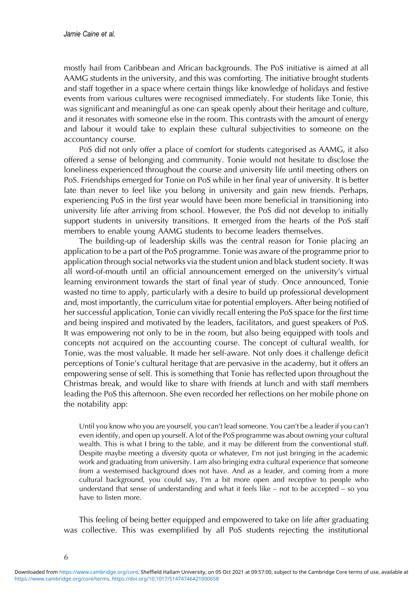mostly hail from Caribbean and African backgrounds. The PoS initiative is aimed at all AAMG students in the university, and this was comforting. The initiative brought students and staff together in a space where certain things like knowledge of holidays and festive events from various cultures were recognised immediately. For students like Tonie, this was significant and meaningful as one can speak openly about their heritage and culture, and it resonates with someone else in the room. This contrasts with the amount of energy and labour it would take to explain these cultural subjectivities to someone on the accountancy course.

PoS did not only offer a place of comfort for students categorised as AAMG, it also offered a sense of belonging and community. Tonie would not hesitate to disclose the loneliness experienced throughout the course and university life until meeting others on PoS. Friendships emerged for Tonie on PoS while in her final year of university. It is better late than never to feel like you belong in university and gain new friends. Perhaps, experiencing PoS in the first year would have been more beneficial in transitioning into university life after arriving from school. However, the PoS did not develop to initially support students in university transitions. It emerged from the hearts of the PoS staff members to enable young AAMG students to become leaders themselves.

The building-up of leadership skills was the central reason for Tonie placing an application to be a part of the PoS programme. Tonie was aware of the programme prior to application through social networks via the student union and black student society. It was all word-of-mouth until an official announcement emerged on the university's virtual learning environment towards the start of final year of study. Once announced, Tonie wasted no time to apply, particularly with a desire to build up professional development and, most importantly, the curriculum vitae for potential employers. After being notified of her successful application, Tonie can vividly recall entering the PoS space for the first time and being inspired and motivated by the leaders, facilitators, and guest speakers of PoS. It was empowering not only to be in the room, but also being equipped with tools and concepts not acquired on the accounting course. The concept of cultural wealth, for Tonie, was the most valuable. It made her self-aware. Not only does it challenge deficit perceptions of Tonie's cultural heritage that are pervasive in the academy, but it offers an empowering sense of self. This is something that Tonie has reflected upon throughout the Christmas break, and would like to share with friends at lunch and with staff members leading the PoS this afternoon. She even recorded her reflections on her mobile phone on the notability app:

Until you know who you are yourself, you can't lead someone. You can't be a leader if you can't even identify, and open up yourself. A lot of the PoS programme was about owning your cultural wealth. This is what I bring to the table, and it may be different from the conventional stuff. Despite maybe meeting a diversity quota or whatever, I'm not just bringing in the academic work and graduating from university. I am also bringing extra cultural experience that someone from a westernised background does not have. And as a leader, and coming from a more cultural background, you could say, I'm a bit more open and receptive to people who understand that sense of understanding and what it feels like – not to be accepted – so you have to listen more.

This feeling of being better equipped and empowered to take on life after graduating was collective. This was exemplified by all PoS students rejecting the institutional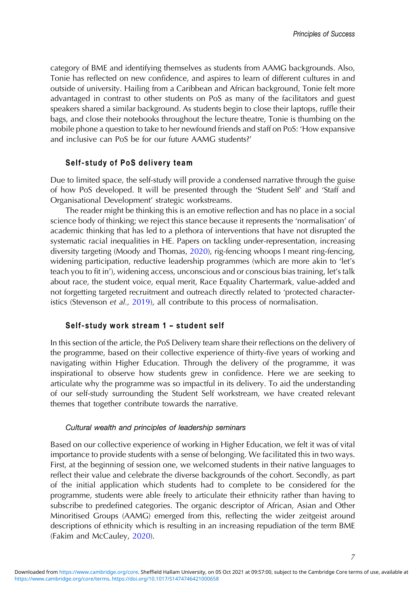category of BME and identifying themselves as students from AAMG backgrounds. Also, Tonie has reflected on new confidence, and aspires to learn of different cultures in and outside of university. Hailing from a Caribbean and African background, Tonie felt more advantaged in contrast to other students on PoS as many of the facilitators and guest speakers shared a similar background. As students begin to close their laptops, ruffle their bags, and close their notebooks throughout the lecture theatre, Tonie is thumbing on the mobile phone a question to take to her newfound friends and staff on PoS: 'How expansive and inclusive can PoS be for our future AAMG students?'

## Self-study of PoS delivery team

Due to limited space, the self-study will provide a condensed narrative through the guise of how PoS developed. It will be presented through the 'Student Self' and 'Staff and Organisational Development' strategic workstreams.

The reader might be thinking this is an emotive reflection and has no place in a social science body of thinking; we reject this stance because it represents the 'normalisation' of academic thinking that has led to a plethora of interventions that have not disrupted the systematic racial inequalities in HE. Papers on tackling under-representation, increasing diversity targeting (Moody and Thomas, [2020\)](#page-16-0), rig-fencing whoops I meant ring-fencing, widening participation, reductive leadership programmes (which are more akin to 'let's teach you to fit in'), widening access, unconscious and or conscious bias training, let's talk about race, the student voice, equal merit, Race Equality Chartermark, value-added and not forgetting targeted recruitment and outreach directly related to 'protected character-istics (Stevenson et al., [2019\)](#page-17-0), all contribute to this process of normalisation.

#### Self-study work stream 1 – student self

In this section of the article, the PoS Delivery team share their reflections on the delivery of the programme, based on their collective experience of thirty-five years of working and navigating within Higher Education. Through the delivery of the programme, it was inspirational to observe how students grew in confidence. Here we are seeking to articulate why the programme was so impactful in its delivery. To aid the understanding of our self-study surrounding the Student Self workstream, we have created relevant themes that together contribute towards the narrative.

#### Cultural wealth and principles of leadership seminars

Based on our collective experience of working in Higher Education, we felt it was of vital importance to provide students with a sense of belonging. We facilitated this in two ways. First, at the beginning of session one, we welcomed students in their native languages to reflect their value and celebrate the diverse backgrounds of the cohort. Secondly, as part of the initial application which students had to complete to be considered for the programme, students were able freely to articulate their ethnicity rather than having to subscribe to predefined categories. The organic descriptor of African, Asian and Other Minoritised Groups (AAMG) emerged from this, reflecting the wider zeitgeist around descriptions of ethnicity which is resulting in an increasing repudiation of the term BME (Fakim and McCauley, [2020\)](#page-15-0).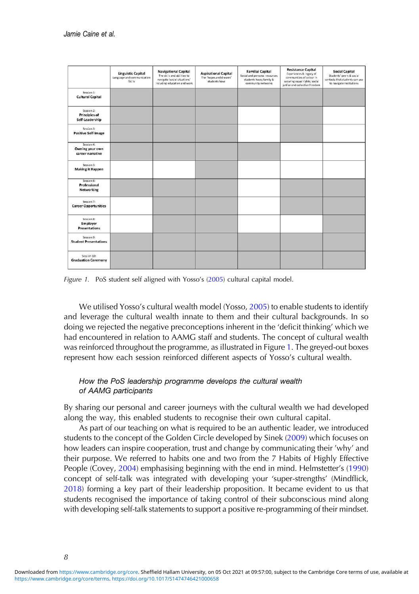|                                                       | <b>Linguistic Capital</b><br>Language and communication<br><b>Skills</b> | <b>Navigational Capital</b><br>The skills and abilities to<br>navigate 'social situations'<br>including education and work | <b>Aspirational Capital</b><br>The 'hopes and dreams'<br>students have | <b>Familial Capital</b><br>Social and personal resources<br>students have; family &<br>community networks | <b>Resistance Capital</b><br>Experiences & legacy of<br>communities of colour in<br>securing equal rights, social<br>just'ce and collective freedom | Social Capital<br>Students' peers & social<br>contacts that students can use<br>to navigate institutions |
|-------------------------------------------------------|--------------------------------------------------------------------------|----------------------------------------------------------------------------------------------------------------------------|------------------------------------------------------------------------|-----------------------------------------------------------------------------------------------------------|-----------------------------------------------------------------------------------------------------------------------------------------------------|----------------------------------------------------------------------------------------------------------|
| Session 1:<br><b>Cultural Capital</b>                 |                                                                          |                                                                                                                            |                                                                        |                                                                                                           |                                                                                                                                                     |                                                                                                          |
| Session 2:<br><b>Principles of</b><br>Self-Leadership |                                                                          |                                                                                                                            |                                                                        |                                                                                                           |                                                                                                                                                     |                                                                                                          |
| Session 3:<br><b>Positive Self-Image</b>              |                                                                          |                                                                                                                            |                                                                        |                                                                                                           |                                                                                                                                                     |                                                                                                          |
| Session 4:<br>Owning your own<br>career narrative     |                                                                          |                                                                                                                            |                                                                        |                                                                                                           |                                                                                                                                                     |                                                                                                          |
| Session 5:<br><b>Making it Happen</b>                 |                                                                          |                                                                                                                            |                                                                        |                                                                                                           |                                                                                                                                                     |                                                                                                          |
| Session 6:<br>Professional<br>Networking              |                                                                          |                                                                                                                            |                                                                        |                                                                                                           |                                                                                                                                                     |                                                                                                          |
| Session 7:<br><b>Career Opportunities</b>             |                                                                          |                                                                                                                            |                                                                        |                                                                                                           |                                                                                                                                                     |                                                                                                          |
| Session &<br>Employer<br><b>Presentations</b>         |                                                                          |                                                                                                                            |                                                                        |                                                                                                           |                                                                                                                                                     |                                                                                                          |
| Session 9:<br><b>Student Presentations</b>            |                                                                          |                                                                                                                            |                                                                        |                                                                                                           |                                                                                                                                                     |                                                                                                          |
| Session 10:<br><b>Graduation Ceremony</b>             |                                                                          |                                                                                                                            |                                                                        |                                                                                                           |                                                                                                                                                     |                                                                                                          |

Figure 1. PoS student self aligned with Yosso's [\(2005\)](#page-17-0) cultural capital model.

We utilised Yosso's cultural wealth model (Yosso, [2005\)](#page-17-0) to enable students to identify and leverage the cultural wealth innate to them and their cultural backgrounds. In so doing we rejected the negative preconceptions inherent in the 'deficit thinking' which we had encountered in relation to AAMG staff and students. The concept of cultural wealth was reinforced throughout the programme, as illustrated in Figure 1. The greyed-out boxes represent how each session reinforced different aspects of Yosso's cultural wealth.

# How the PoS leadership programme develops the cultural wealth of AAMG participants

By sharing our personal and career journeys with the cultural wealth we had developed along the way, this enabled students to recognise their own cultural capital.

As part of our teaching on what is required to be an authentic leader, we introduced students to the concept of the Golden Circle developed by Sinek [\(2009](#page-16-0)) which focuses on how leaders can inspire cooperation, trust and change by communicating their 'why' and their purpose. We referred to habits one and two from the 7 Habits of Highly Effective People (Covey, [2004](#page-15-0)) emphasising beginning with the end in mind. Helmstetter's [\(1990](#page-15-0)) concept of self-talk was integrated with developing your 'super-strengths' (Mindflick, [2018](#page-16-0)) forming a key part of their leadership proposition. It became evident to us that students recognised the importance of taking control of their subconscious mind along with developing self-talk statements to support a positive re-programming of their mindset.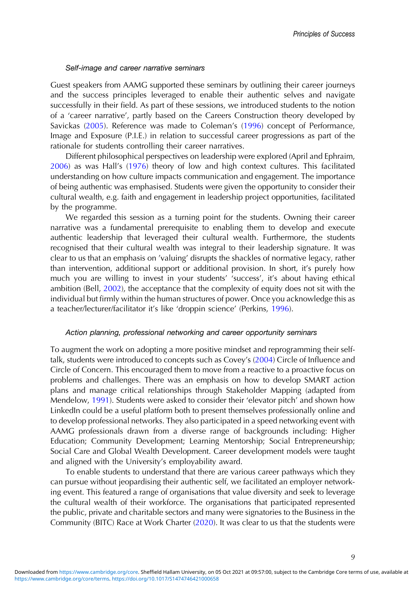#### Self-image and career narrative seminars

Guest speakers from AAMG supported these seminars by outlining their career journeys and the success principles leveraged to enable their authentic selves and navigate successfully in their field. As part of these sessions, we introduced students to the notion of a 'career narrative', partly based on the Careers Construction theory developed by Savickas [\(2005](#page-16-0)). Reference was made to Coleman's ([1996\)](#page-15-0) concept of Performance, Image and Exposure (P.I.E.) in relation to successful career progressions as part of the rationale for students controlling their career narratives.

Different philosophical perspectives on leadership were explored (April and Ephraim, [2006](#page-14-0)) as was Hall's [\(1976](#page-15-0)) theory of low and high context cultures. This facilitated understanding on how culture impacts communication and engagement. The importance of being authentic was emphasised. Students were given the opportunity to consider their cultural wealth, e.g. faith and engagement in leadership project opportunities, facilitated by the programme.

We regarded this session as a turning point for the students. Owning their career narrative was a fundamental prerequisite to enabling them to develop and execute authentic leadership that leveraged their cultural wealth. Furthermore, the students recognised that their cultural wealth was integral to their leadership signature. It was clear to us that an emphasis on 'valuing' disrupts the shackles of normative legacy, rather than intervention, additional support or additional provision. In short, it's purely how much you are willing to invest in your students' 'success', it's about having ethical ambition (Bell, [2002\)](#page-14-0), the acceptance that the complexity of equity does not sit with the individual but firmly within the human structures of power. Once you acknowledge this as a teacher/lecturer/facilitator it's like 'droppin science' (Perkins, [1996](#page-16-0)).

#### Action planning, professional networking and career opportunity seminars

To augment the work on adopting a more positive mindset and reprogramming their selftalk, students were introduced to concepts such as Covey's [\(2004](#page-15-0)) Circle of Influence and Circle of Concern. This encouraged them to move from a reactive to a proactive focus on problems and challenges. There was an emphasis on how to develop SMART action plans and manage critical relationships through Stakeholder Mapping (adapted from Mendelow, [1991](#page-16-0)). Students were asked to consider their 'elevator pitch' and shown how LinkedIn could be a useful platform both to present themselves professionally online and to develop professional networks. They also participated in a speed networking event with AAMG professionals drawn from a diverse range of backgrounds including: Higher Education; Community Development; Learning Mentorship; Social Entrepreneurship; Social Care and Global Wealth Development. Career development models were taught and aligned with the University's employability award.

To enable students to understand that there are various career pathways which they can pursue without jeopardising their authentic self, we facilitated an employer networking event. This featured a range of organisations that value diversity and seek to leverage the cultural wealth of their workforce. The organisations that participated represented the public, private and charitable sectors and many were signatories to the Business in the Community (BITC) Race at Work Charter [\(2020](#page-15-0)). It was clear to us that the students were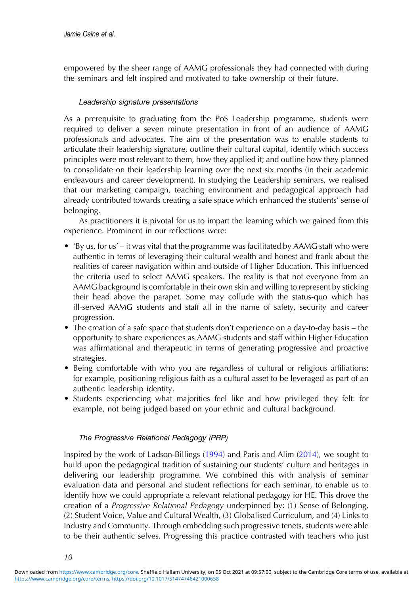empowered by the sheer range of AAMG professionals they had connected with during the seminars and felt inspired and motivated to take ownership of their future.

# Leadership signature presentations

As a prerequisite to graduating from the PoS Leadership programme, students were required to deliver a seven minute presentation in front of an audience of AAMG professionals and advocates. The aim of the presentation was to enable students to articulate their leadership signature, outline their cultural capital, identify which success principles were most relevant to them, how they applied it; and outline how they planned to consolidate on their leadership learning over the next six months (in their academic endeavours and career development). In studying the Leadership seminars, we realised that our marketing campaign, teaching environment and pedagogical approach had already contributed towards creating a safe space which enhanced the students' sense of belonging.

As practitioners it is pivotal for us to impart the learning which we gained from this experience. Prominent in our reflections were:

- 'By us, for us' it was vital that the programme was facilitated by AAMG staff who were authentic in terms of leveraging their cultural wealth and honest and frank about the realities of career navigation within and outside of Higher Education. This influenced the criteria used to select AAMG speakers. The reality is that not everyone from an AAMG background is comfortable in their own skin and willing to represent by sticking their head above the parapet. Some may collude with the status-quo which has ill-served AAMG students and staff all in the name of safety, security and career progression.
- The creation of a safe space that students don't experience on a day-to-day basis the opportunity to share experiences as AAMG students and staff within Higher Education was affirmational and therapeutic in terms of generating progressive and proactive strategies.
- Being comfortable with who you are regardless of cultural or religious affiliations: for example, positioning religious faith as a cultural asset to be leveraged as part of an authentic leadership identity.
- Students experiencing what majorities feel like and how privileged they felt: for example, not being judged based on your ethnic and cultural background.

# The Progressive Relational Pedagogy (PRP)

Inspired by the work of Ladson-Billings [\(1994](#page-15-0)) and Paris and Alim ([2014\)](#page-16-0), we sought to build upon the pedagogical tradition of sustaining our students' culture and heritages in delivering our leadership programme. We combined this with analysis of seminar evaluation data and personal and student reflections for each seminar, to enable us to identify how we could appropriate a relevant relational pedagogy for HE. This drove the creation of a Progressive Relational Pedagogy underpinned by: (1) Sense of Belonging, (2) Student Voice, Value and Cultural Wealth, (3) Globalised Curriculum, and (4) Links to Industry and Community. Through embedding such progressive tenets, students were able to be their authentic selves. Progressing this practice contrasted with teachers who just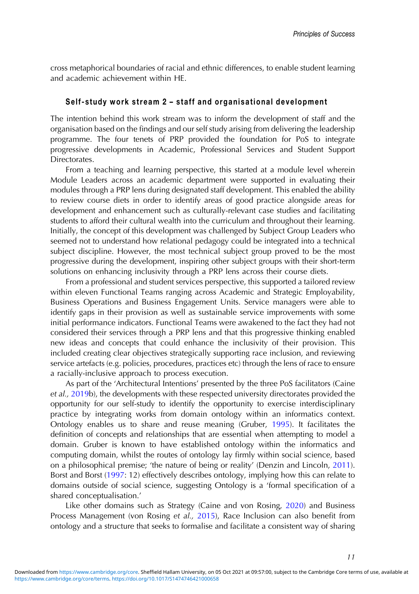cross metaphorical boundaries of racial and ethnic differences, to enable student learning and academic achievement within HE.

# Self-study work stream 2 – staff and organisational development

The intention behind this work stream was to inform the development of staff and the organisation based on the findings and our self study arising from delivering the leadership programme. The four tenets of PRP provided the foundation for PoS to integrate progressive developments in Academic, Professional Services and Student Support Directorates.

From a teaching and learning perspective, this started at a module level wherein Module Leaders across an academic department were supported in evaluating their modules through a PRP lens during designated staff development. This enabled the ability to review course diets in order to identify areas of good practice alongside areas for development and enhancement such as culturally-relevant case studies and facilitating students to afford their cultural wealth into the curriculum and throughout their learning. Initially, the concept of this development was challenged by Subject Group Leaders who seemed not to understand how relational pedagogy could be integrated into a technical subject discipline. However, the most technical subject group proved to be the most progressive during the development, inspiring other subject groups with their short-term solutions on enhancing inclusivity through a PRP lens across their course diets.

From a professional and student services perspective, this supported a tailored review within eleven Functional Teams ranging across Academic and Strategic Employability, Business Operations and Business Engagement Units. Service managers were able to identify gaps in their provision as well as sustainable service improvements with some initial performance indicators. Functional Teams were awakened to the fact they had not considered their services through a PRP lens and that this progressive thinking enabled new ideas and concepts that could enhance the inclusivity of their provision. This included creating clear objectives strategically supporting race inclusion, and reviewing service artefacts (e.g. policies, procedures, practices etc) through the lens of race to ensure a racially-inclusive approach to process execution.

As part of the 'Architectural Intentions' presented by the three PoS facilitators (Caine et al., [2019b](#page-15-0)), the developments with these respected university directorates provided the opportunity for our self-study to identify the opportunity to exercise interdisciplinary practice by integrating works from domain ontology within an informatics context. Ontology enables us to share and reuse meaning (Gruber, [1995](#page-15-0)). It facilitates the definition of concepts and relationships that are essential when attempting to model a domain. Gruber is known to have established ontology within the informatics and computing domain, whilst the routes of ontology lay firmly within social science, based on a philosophical premise; 'the nature of being or reality' (Denzin and Lincoln, [2011\)](#page-15-0). Borst and Borst ([1997](#page-14-0): 12) effectively describes ontology, implying how this can relate to domains outside of social science, suggesting Ontology is a 'formal specification of a shared conceptualisation.'

Like other domains such as Strategy (Caine and von Rosing, [2020](#page-15-0)) and Business Process Management (von Rosing et al., [2015](#page-17-0)), Race Inclusion can also benefit from ontology and a structure that seeks to formalise and facilitate a consistent way of sharing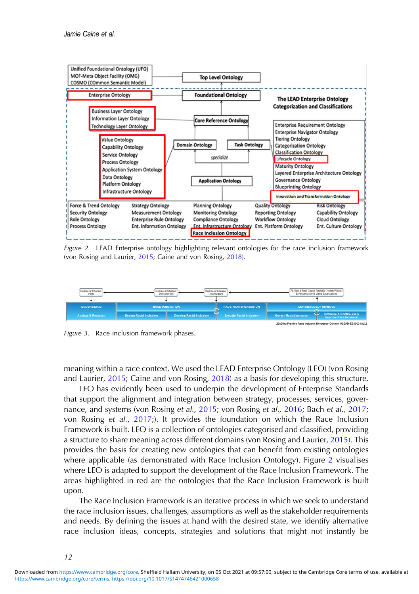<span id="page-12-0"></span>

Figure 2. LEAD Enterprise ontology highlighting relevant ontologies for the race inclusion framework (von Rosing and Laurier, [2015](#page-17-0); Caine and von Rosing, [2018\)](#page-15-0).



Figure 3. Race inclusion framework phases.

meaning within a race context. We used the LEAD Enterprise Ontology (LEO) (von Rosing and Laurier, [2015](#page-17-0); Caine and von Rosing, [2018](#page-15-0)) as a basis for developing this structure.

LEO has evidently been used to underpin the development of Enterprise Standards that support the alignment and integration between strategy, processes, services, gover-nance, and systems (von Rosing et al., [2015](#page-17-0); von Rosing et al., [2016;](#page-17-0) Bach et al., [2017](#page-14-0); von Rosing et al., [2017;](#page-17-0)). It provides the foundation on which the Race Inclusion Framework is built. LEO is a collection of ontologies categorised and classified, providing a structure to share meaning across different domains (von Rosing and Laurier, [2015\)](#page-17-0). This provides the basis for creating new ontologies that can benefit from existing ontologies where applicable (as demonstrated with Race Inclusion Ontology). Figure 2 visualises where LEO is adapted to support the development of the Race Inclusion Framework. The areas highlighted in red are the ontologies that the Race Inclusion Framework is built upon.

The Race Inclusion Framework is an iterative process in which we seek to understand the race inclusion issues, challenges, assumptions as well as the stakeholder requirements and needs. By defining the issues at hand with the desired state, we identify alternative race inclusion ideas, concepts, strategies and solutions that might not instantly be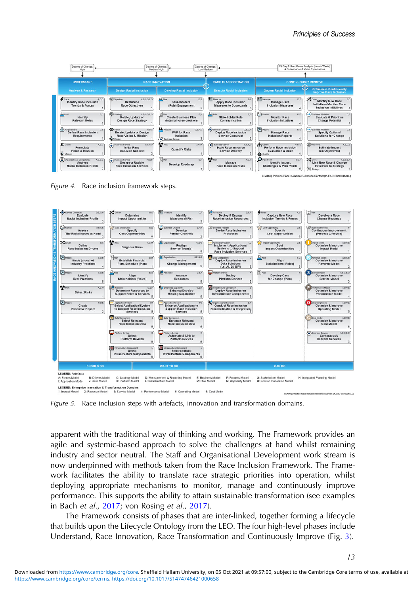<span id="page-13-0"></span>

Figure 4. Race inclusion framework steps.



Figure 5. Race inclusion steps with artefacts, innovation and transformation domains.

apparent with the traditional way of thinking and working. The Framework provides an agile and systemic-based approach to solve the challenges at hand whilst remaining industry and sector neutral. The Staff and Organisational Development work stream is now underpinned with methods taken from the Race Inclusion Framework. The Framework facilitates the ability to translate race strategic priorities into operation, whilst deploying appropriate mechanisms to monitor, manage and continuously improve performance. This supports the ability to attain sustainable transformation (see examples in Bach et al., [2017;](#page-14-0) von Rosing et al., [2017](#page-17-0)).

The Framework consists of phases that are inter-linked, together forming a lifecycle that builds upon the Lifecycle Ontology from the LEO. The four high-level phases include Understand, Race Innovation, Race Transformation and Continuously Improve (Fig. [3\)](#page-12-0).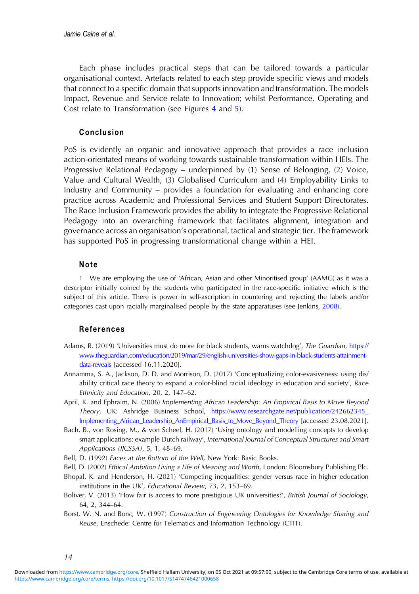<span id="page-14-0"></span>Each phase includes practical steps that can be tailored towards a particular organisational context. Artefacts related to each step provide specific views and models that connect to a specific domain that supports innovation and transformation. The models Impact, Revenue and Service relate to Innovation; whilst Performance, Operating and Cost relate to Transformation (see Figures [4](#page-13-0) and [5](#page-13-0)).

## Conclusion

PoS is evidently an organic and innovative approach that provides a race inclusion action-orientated means of working towards sustainable transformation within HEIs. The Progressive Relational Pedagogy – underpinned by (1) Sense of Belonging, (2) Voice, Value and Cultural Wealth, (3) Globalised Curriculum and (4) Employability Links to Industry and Community – provides a foundation for evaluating and enhancing core practice across Academic and Professional Services and Student Support Directorates. The Race Inclusion Framework provides the ability to integrate the Progressive Relational Pedagogy into an overarching framework that facilitates alignment, integration and governance across an organisation's operational, tactical and strategic tier. The framework has supported PoS in progressing transformational change within a HEI.

# Note

1 We are employing the use of 'African, Asian and other Minoritised group' (AAMG) as it was a descriptor initially coined by the students who participated in the race-specific initiative which is the subject of this article. There is power in self-ascription in countering and rejecting the labels and/or categories cast upon racially marginalised people by the state apparatuses (see Jenkins, [2008](#page-15-0)).

#### References

- Adams, R. (2019) 'Universities must do more for black students, warns watchdog', The Guardian, [https://](https://www.theguardian.com/education/2019/mar/29/english-universities-show-gaps-in-black-students-attainment-data-reveals) [www.theguardian.com/education/2019/mar/29/english-universities-show-gaps-in-black-students-attainment](https://www.theguardian.com/education/2019/mar/29/english-universities-show-gaps-in-black-students-attainment-data-reveals)[data-reveals](https://www.theguardian.com/education/2019/mar/29/english-universities-show-gaps-in-black-students-attainment-data-reveals) [accessed 16.11.2020].
- Annamma, S. A., Jackson, D. D. and Morrison, D. (2017) 'Conceptualizing color-evasiveness: using dis/ ability critical race theory to expand a color-blind racial ideology in education and society', Race Ethnicity and Education, 20, 2, 147–62.
- April, K. and Ephraim, N. (2006) Implementing African Leadership: An Empirical Basis to Move Beyond Theory, UK: Ashridge Business School, [https://www.researchgate.net/publication/242662345\\_](https://www.researchgate.net/publication/242662345_Implementing_African_Leadership_AnEmpirical_Basis_to_Move_Beyond_Theory) [Implementing\\_African\\_Leadership\\_AnEmpirical\\_Basis\\_to\\_Move\\_Beyond\\_Theory](https://www.researchgate.net/publication/242662345_Implementing_African_Leadership_AnEmpirical_Basis_to_Move_Beyond_Theory) [accessed 23.08.2021].
- Bach, B., von Rosing, M., & von Scheel, H. (2017) 'Using ontology and modelling concepts to develop smart applications: example Dutch railway', International Journal of Conceptual Structures and Smart Applications (IJCSSA), 5, 1, 48–69.
- Bell, D. (1992) Faces at the Bottom of the Well, New York: Basic Books.
- Bell, D. (2002) Ethical Ambition Living a Life of Meaning and Worth, London: Bloomsbury Publishing Plc.
- Bhopal, K. and Henderson, H. (2021) 'Competing inequalities: gender versus race in higher education institutions in the UK', Educational Review, 73, 2, 153–69.
- Boliver, V. (2013) 'How fair is access to more prestigious UK universities?', British Journal of Sociology, 64, 2, 344–64.
- Borst, W. N. and Borst, W. (1997) Construction of Engineering Ontologies for Knowledge Sharing and Reuse, Enschede: Centre for Telematics and Information Technology (CTIT).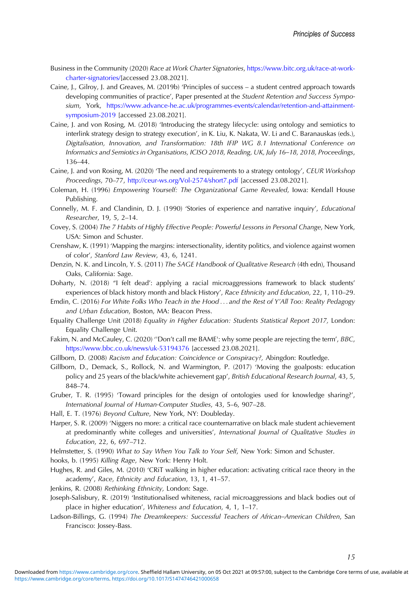- <span id="page-15-0"></span>Business in the Community (2020) Race at Work Charter Signatories, [https://www.bitc.org.uk/race-at-work](https://www.bitc.org.uk/race-at-work-charter-signatories/)[charter-signatories/\[](https://www.bitc.org.uk/race-at-work-charter-signatories/)accessed 23.08.2021].
- Caine, J., Gilroy, J. and Greaves, M. (2019b) 'Principles of success a student centred approach towards developing communities of practice', Paper presented at the Student Retention and Success Symposium, York, [https://www.advance-he.ac.uk/programmes-events/calendar/retention-and-attainment](https://www.advance-he.ac.uk/programmes-events/calendar/retention-and-attainment-symposium-2019)[symposium-2019](https://www.advance-he.ac.uk/programmes-events/calendar/retention-and-attainment-symposium-2019) [accessed 23.08.2021].
- Caine, J. and von Rosing, M. (2018) 'Introducing the strategy lifecycle: using ontology and semiotics to interlink strategy design to strategy execution', in K. Liu, K. Nakata, W. Li and C. Baranauskas (eds.), Digitalisation, Innovation, and Transformation: 18th IFIP WG 8.1 International Conference on Informatics and Semiotics in Organisations, ICISO 2018, Reading, UK, July 16–18, 2018, Proceedings, 136–44.
- Caine, J. and von Rosing, M. (2020) 'The need and requirements to a strategy ontology', CEUR Workshop Proceedings, 70–77, <http://ceur-ws.org/Vol-2574/short7.pdf> [accessed 23.08.2021].
- Coleman, H. (1996) Empowering Yourself: The Organizational Game Revealed, Iowa: Kendall House Publishing.
- Connelly, M. F. and Clandinin, D. J. (1990) 'Stories of experience and narrative inquiry', Educational Researcher, 19, 5, 2–14.
- Covey, S. (2004) The 7 Habits of Highly Effective People: Powerful Lessons in Personal Change, New York, USA: Simon and Schuster.
- Crenshaw, K. (1991) 'Mapping the margins: intersectionality, identity politics, and violence against women of color', Stanford Law Review, 43, 6, 1241.
- Denzin, N. K. and Lincoln, Y. S. (2011) The SAGE Handbook of Qualitative Research (4th edn), Thousand Oaks, California: Sage.
- Doharty, N. (2018) "I felt dead': applying a racial microaggressions framework to black students' experiences of black history month and black History', Race Ethnicity and Education, 22, 1, 110–29.
- Emdin, C. (2016) For White Folks Who Teach in the Hood ... and the Rest of Y'All Too: Reality Pedagogy and Urban Education, Boston, MA: Beacon Press.
- Equality Challenge Unit (2018) Equality in Higher Education: Students Statistical Report 2017, London: Equality Challenge Unit.
- Fakim, N. and McCauley, C. (2020) "Don't call me BAME': why some people are rejecting the term', BBC, <https://www.bbc.co.uk/news/uk-53194376> [accessed 23.08.2021].
- Gillborn, D. (2008) Racism and Education: Coincidence or Conspiracy?, Abingdon: Routledge.
- Gillborn, D., Demack, S., Rollock, N. and Warmington, P. (2017) 'Moving the goalposts: education policy and 25 years of the black/white achievement gap', British Educational Research Journal, 43, 5, 848–74.
- Gruber, T. R. (1995) 'Toward principles for the design of ontologies used for knowledge sharing?', International Journal of Human-Computer Studies, 43, 5–6, 907–28.
- Hall, E. T. (1976) Beyond Culture, New York, NY: Doubleday.
- Harper, S. R. (2009) 'Niggers no more: a critical race counternarrative on black male student achievement at predominantly white colleges and universities', International Journal of Qualitative Studies in Education, 22, 6, 697–712.
- Helmstetter, S. (1990) What to Say When You Talk to Your Self, New York: Simon and Schuster.

hooks, b. (1995) Killing Rage, New York: Henry Holt.

- Hughes, R. and Giles, M. (2010) 'CRiT walking in higher education: activating critical race theory in the academy', Race, Ethnicity and Education, 13, 1, 41–57.
- Jenkins, R. (2008) Rethinking Ethnicity, London: Sage.
- Joseph-Salisbury, R. (2019) 'Institutionalised whiteness, racial microaggressions and black bodies out of place in higher education', Whiteness and Education, 4, 1, 1–17.
- Ladson-Billings, G. (1994) The Dreamkeepers: Successful Teachers of African–American Children, San Francisco: Jossey-Bass.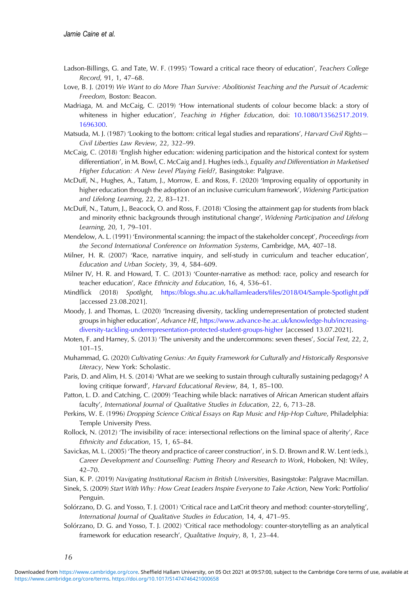- <span id="page-16-0"></span>Ladson-Billings, G. and Tate, W. F. (1995) 'Toward a critical race theory of education', Teachers College Record, 91, 1, 47–68.
- Love, B. J. (2019) We Want to do More Than Survive: Abolitionist Teaching and the Pursuit of Academic Freedom, Boston: Beacon.
- Madriaga, M. and McCaig, C. (2019) 'How international students of colour become black: a story of whiteness in higher education', Teaching in Higher Education, doi: [10.1080/13562517.2019.](https://doi.org/10.1080/13562517.2019.1696300) [1696300](https://doi.org/10.1080/13562517.2019.1696300).
- Matsuda, M. J. (1987) 'Looking to the bottom: critical legal studies and reparations', Harvard Civil Rights— Civil Liberties Law Review, 22, 322–99.
- McCaig, C. (2018) 'English higher education: widening participation and the historical context for system differentiation', in M. Bowl, C. McCaig and J. Hughes (eds.), Equality and Differentiation in Marketised Higher Education: A New Level Playing Field?, Basingstoke: Palgrave.
- McDuff, N., Hughes, A., Tatum, J., Morrow, E. and Ross, F. (2020) 'Improving equality of opportunity in higher education through the adoption of an inclusive curriculum framework', Widening Participation and Lifelong Learning, 22, 2, 83–121.
- McDuff, N., Tatum, J., Beacock, O. and Ross, F. (2018) 'Closing the attainment gap for students from black and minority ethnic backgrounds through institutional change', Widening Participation and Lifelong Learning, 20, 1, 79–101.
- Mendelow, A. L. (1991) 'Environmental scanning: the impact of the stakeholder concept', Proceedings from the Second International Conference on Information Systems, Cambridge, MA, 407–18.
- Milner, H. R. (2007) 'Race, narrative inquiry, and self-study in curriculum and teacher education', Education and Urban Society, 39, 4, 584–609.
- Milner IV, H. R. and Howard, T. C. (2013) 'Counter-narrative as method: race, policy and research for teacher education', Race Ethnicity and Education, 16, 4, 536–61.
- Mindflick (2018) Spotlight, [https://blogs.shu.ac.uk/hallamleaders/](https://blogs.shu.ac.uk/hallamleaders/files/2018/04/Sample-Spotlight.pdf)files/2018/04/Sample-Spotlight.pdf [accessed 23.08.2021].
- Moody, J. and Thomas, L. (2020) 'Increasing diversity, tackling underrepresentation of protected student groups in higher education', Advance HE, [https://www.advance-he.ac.uk/knowledge-hub/increasing](https://www.advance-he.ac.uk/knowledge-hub/increasing-diversity-tackling-underrepresentation-protected-student-groups-higher)[diversity-tackling-underrepresentation-protected-student-groups-higher](https://www.advance-he.ac.uk/knowledge-hub/increasing-diversity-tackling-underrepresentation-protected-student-groups-higher) [accessed 13.07.2021].
- Moten, F. and Harney, S. (2013) 'The university and the undercommons: seven theses', Social Text, 22, 2, 101–15.
- Muhammad, G. (2020) Cultivating Genius: An Equity Framework for Culturally and Historically Responsive Literacy, New York: Scholastic.
- Paris, D. and Alim, H. S. (2014) 'What are we seeking to sustain through culturally sustaining pedagogy? A loving critique forward', Harvard Educational Review, 84, 1, 85–100.
- Patton, L. D. and Catching, C. (2009) 'Teaching while black: narratives of African American student affairs faculty', International Journal of Qualitative Studies in Education, 22, 6, 713–28.
- Perkins, W. E. (1996) Dropping Science Critical Essays on Rap Music and Hip-Hop Culture, Philadelphia: Temple University Press.
- Rollock, N. (2012) 'The invisibility of race: intersectional reflections on the liminal space of alterity', Race Ethnicity and Education, 15, 1, 65–84.
- Savickas, M. L. (2005) 'The theory and practice of career construction', in S. D. Brown and R. W. Lent (eds.), Career Development and Counselling: Putting Theory and Research to Work, Hoboken, NJ: Wiley, 42–70.
- Sian, K. P. (2019) Navigating Institutional Racism in British Universities, Basingstoke: Palgrave Macmillan.
- Sinek, S. (2009) Start With Why: How Great Leaders Inspire Everyone to Take Action, New York: Portfolio/ Penguin.
- Solórzano, D. G. and Yosso, T. J. (2001) 'Critical race and LatCrit theory and method: counter-storytelling', International Journal of Qualitative Studies in Education, 14, 4, 471–95.
- Solórzano, D. G. and Yosso, T. J. (2002) 'Critical race methodology: counter-storytelling as an analytical framework for education research', Qualitative Inquiry, 8, 1, 23–44.